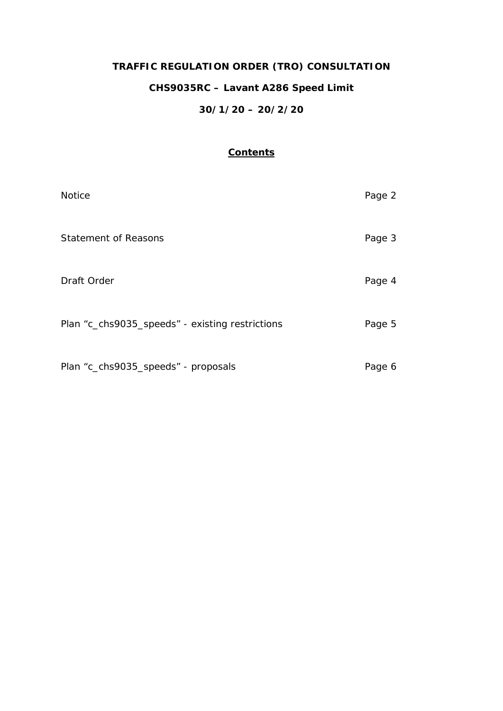# **TRAFFIC REGULATION ORDER (TRO) CONSULTATION CHS9035RC – Lavant A286 Speed Limit 30/1/20 – 20/2/20**

# **Contents**

| <b>Notice</b>                                   | Page 2 |
|-------------------------------------------------|--------|
| <b>Statement of Reasons</b>                     | Page 3 |
| Draft Order                                     | Page 4 |
| Plan "c_chs9035_speeds" - existing restrictions | Page 5 |
| Plan "c_chs9035_speeds" - proposals             | Page 6 |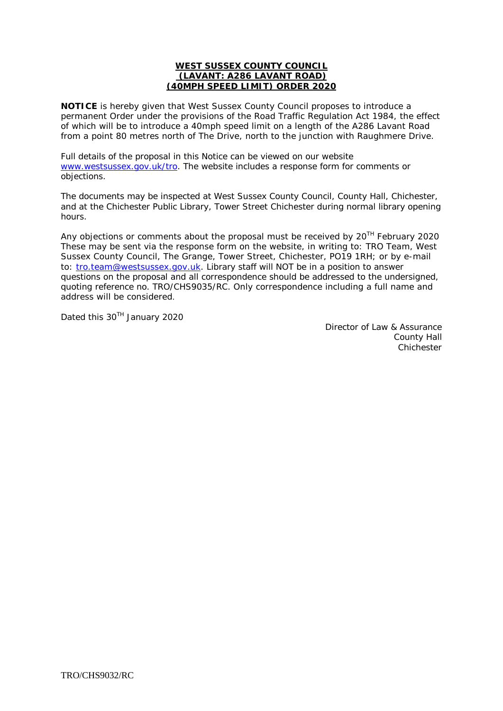#### **WEST SUSSEX COUNTY COUNCIL (LAVANT: A286 LAVANT ROAD) (40MPH SPEED LIMIT) ORDER 2020**

**NOTICE** is hereby given that West Sussex County Council proposes to introduce a permanent Order under the provisions of the Road Traffic Regulation Act 1984, the effect of which will be to introduce a 40mph speed limit on a length of the A286 Lavant Road from a point 80 metres north of The Drive, north to the junction with Raughmere Drive.

Full details of the proposal in this Notice can be viewed on our website [www.westsussex.gov.uk/tro.](http://www.westsussex.gov.uk/tro) The website includes a response form for comments or objections.

The documents may be inspected at West Sussex County Council, County Hall, Chichester, and at the Chichester Public Library, Tower Street Chichester during normal library opening hours.

Any objections or comments about the proposal must be received by  $20^{TH}$  February 2020 These may be sent via the response form on the website, in writing to: TRO Team, West Sussex County Council, The Grange, Tower Street, Chichester, PO19 1RH; or by e-mail to: [tro.team@westsussex.gov.uk.](mailto:tro.team@westsussex.gov.uk) Library staff will NOT be in a position to answer questions on the proposal and all correspondence should be addressed to the undersigned, quoting reference no. TRO/CHS9035/RC. Only correspondence including a full name and address will be considered.

Dated this 30<sup>TH</sup> January 2020

Director of Law & Assurance County Hall Chichester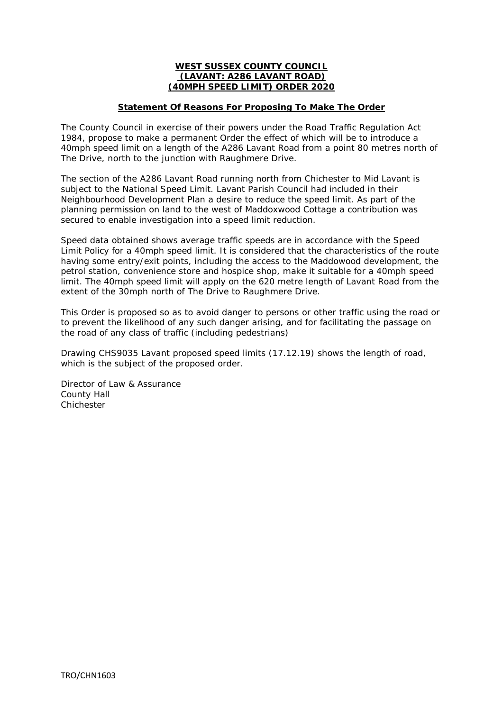# **WEST SUSSEX COUNTY COUNCIL (LAVANT: A286 LAVANT ROAD) (40MPH SPEED LIMIT) ORDER 2020**

# **Statement Of Reasons For Proposing To Make The Order**

The County Council in exercise of their powers under the Road Traffic Regulation Act 1984, propose to make a permanent Order the effect of which will be to introduce a 40mph speed limit on a length of the A286 Lavant Road from a point 80 metres north of The Drive, north to the junction with Raughmere Drive.

The section of the A286 Lavant Road running north from Chichester to Mid Lavant is subject to the National Speed Limit. Lavant Parish Council had included in their Neighbourhood Development Plan a desire to reduce the speed limit. As part of the planning permission on land to the west of Maddoxwood Cottage a contribution was secured to enable investigation into a speed limit reduction.

Speed data obtained shows average traffic speeds are in accordance with the Speed Limit Policy for a 40mph speed limit. It is considered that the characteristics of the route having some entry/exit points, including the access to the Maddowood development, the petrol station, convenience store and hospice shop, make it suitable for a 40mph speed limit. The 40mph speed limit will apply on the 620 metre length of Lavant Road from the extent of the 30mph north of The Drive to Raughmere Drive.

This Order is proposed so as to avoid danger to persons or other traffic using the road or to prevent the likelihood of any such danger arising, and for facilitating the passage on the road of any class of traffic (including pedestrians)

Drawing CHS9035 Lavant proposed speed limits (17.12.19) shows the length of road, which is the subject of the proposed order.

Director of Law & Assurance County Hall **Chichester**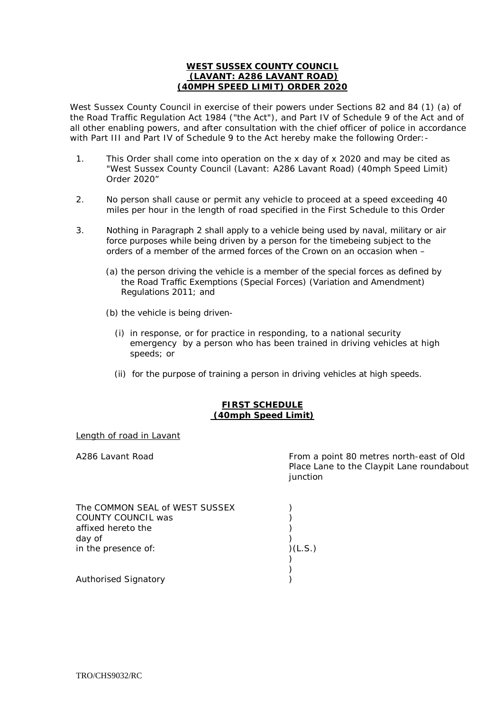# **WEST SUSSEX COUNTY COUNCIL (LAVANT: A286 LAVANT ROAD) (40MPH SPEED LIMIT) ORDER 2020**

West Sussex County Council in exercise of their powers under Sections 82 and 84 (1) (a) of the Road Traffic Regulation Act 1984 ("the Act"), and Part IV of Schedule 9 of the Act and of all other enabling powers, and after consultation with the chief officer of police in accordance with Part III and Part IV of Schedule 9 to the Act hereby make the following Order:-

- 1. This Order shall come into operation on the x day of x 2020 and may be cited as "West Sussex County Council (Lavant: A286 Lavant Road) (40mph Speed Limit) Order 2020"
- 2. No person shall cause or permit any vehicle to proceed at a speed exceeding 40 miles per hour in the length of road specified in the First Schedule to this Order
- 3. Nothing in Paragraph 2 shall apply to a vehicle being used by naval, military or air force purposes while being driven by a person for the timebeing subject to the orders of a member of the armed forces of the Crown on an occasion when –
	- (a) the person driving the vehicle is a member of the special forces as defined by the Road Traffic Exemptions (Special Forces) (Variation and Amendment) Regulations 2011; and
	- (b) the vehicle is being driven-
		- (i) in response, or for practice in responding, to a national security emergency by a person who has been trained in driving vehicles at high speeds; or
		- (ii) for the purpose of training a person in driving vehicles at high speeds.

# **FIRST SCHEDULE (40mph Speed Limit)**

# Length of road in Lavant

A286 Lavant Road **From a point 80 metres north-east of Old** Place Lane to the Claypit Lane roundabout iunction

| The COMMON SEAL of WEST SUSSEX |         |
|--------------------------------|---------|
| COUNTY COUNCIL was             |         |
| affixed hereto the             |         |
| day of                         |         |
| in the presence of:            | )(L.S.) |
|                                |         |
|                                |         |
| <b>Authorised Signatory</b>    |         |
|                                |         |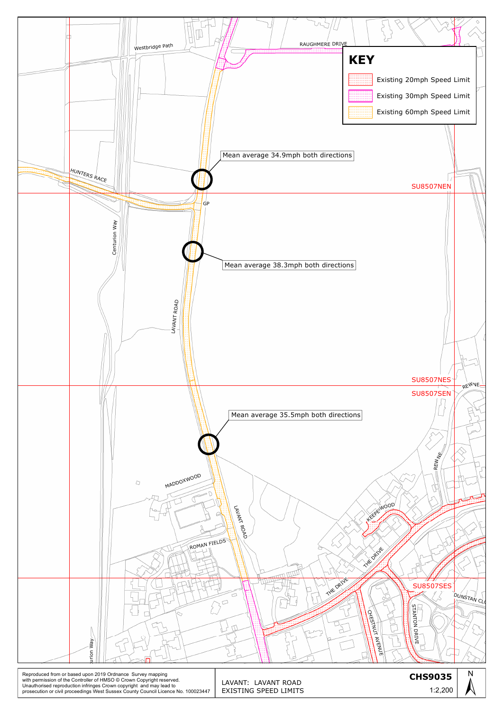